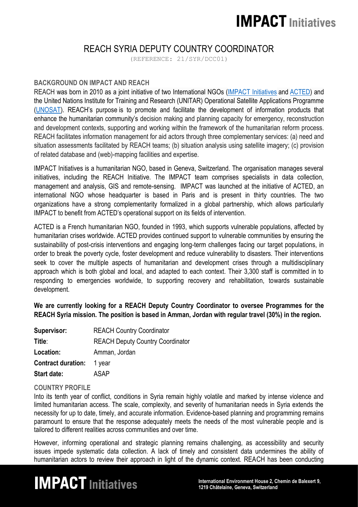### **IMPACT Initiatives**

### REACH SYRIA DEPUTY COUNTRY COORDINATOR

(REFERENCE: 21/SYR/DCC01)

#### **BACKGROUND ON IMPACT AND REACH**

REACH was born in 2010 as a joint initiative of two International NGOs (IMPACT [Initiatives](http://www.impact-initiatives.org/) and [ACTED\)](http://www.acted.org/) and the United Nations Institute for Training and Research (UNITAR) Operational Satellite Applications Programme [\(UNOSAT\)](http://www.unitar.org/unosat/). REACH's purpose is to promote and facilitate the development of information products that enhance the humanitarian community's decision making and planning capacity for emergency, reconstruction and development contexts, supporting and working within the framework of the humanitarian reform process. REACH facilitates information management for aid actors through three complementary services: (a) need and situation assessments facilitated by REACH teams; (b) situation analysis using satellite imagery; (c) provision of related database and (web)-mapping facilities and expertise.

IMPACT Initiatives is a humanitarian NGO, based in Geneva, Switzerland. The organisation manages several initiatives, including the REACH Initiative. The IMPACT team comprises specialists in data collection, management and analysis, GIS and remote-sensing. IMPACT was launched at the initiative of ACTED, an international NGO whose headquarter is based in Paris and is present in thirty countries. The two organizations have a strong complementarity formalized in a global partnership, which allows particularly IMPACT to benefit from ACTED's operational support on its fields of intervention.

ACTED is a French humanitarian NGO, founded in 1993, which supports vulnerable populations, affected by humanitarian crises worldwide. ACTED provides continued support to vulnerable communities by ensuring the sustainability of post-crisis interventions and engaging long-term challenges facing our target populations, in order to break the poverty cycle, foster development and reduce vulnerability to disasters. Their interventions seek to cover the multiple aspects of humanitarian and development crises through a multidisciplinary approach which is both global and local, and adapted to each context. Their 3,300 staff is committed in to responding to emergencies worldwide, to supporting recovery and rehabilitation, towards sustainable development.

**We are currently looking for a REACH Deputy Country Coordinator to oversee Programmes for the REACH Syria mission. The position is based in Amman, Jordan with regular travel (30%) in the region.** 

| Supervisor:               | <b>REACH Country Coordinator</b>        |
|---------------------------|-----------------------------------------|
| Title:                    | <b>REACH Deputy Country Coordinator</b> |
| Location:                 | Amman, Jordan                           |
| <b>Contract duration:</b> | 1 year                                  |
| Start date:               | ASAP                                    |

#### **COUNTRY PROFILE**

Into its tenth year of conflict, conditions in Syria remain highly volatile and marked by intense violence and limited humanitarian access. The scale, complexity, and severity of humanitarian needs in Syria extends the necessity for up to date, timely, and accurate information. Evidence-based planning and programming remains paramount to ensure that the response adequately meets the needs of the most vulnerable people and is tailored to different realities across communities and over time.

However, informing operational and strategic planning remains challenging, as accessibility and security issues impede systematic data collection. A lack of timely and consistent data undermines the ability of humanitarian actors to review their approach in light of the dynamic context. REACH has been conducting

# **IM PACT Initiatives**<br>1219 Châtelaine, Geneva, Switzerland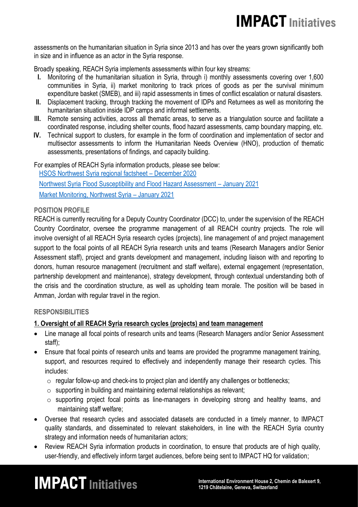assessments on the humanitarian situation in Syria since 2013 and has over the years grown significantly both in size and in influence as an actor in the Syria response.

Broadly speaking, REACH Syria implements assessments within four key streams:

- **I.** Monitoring of the humanitarian situation in Syria, through i) monthly assessments covering over 1,600 communities in Syria, ii) market monitoring to track prices of goods as per the survival minimum expenditure basket (SMEB), and iii) rapid assessments in times of conflict escalation or natural disasters.
- **II.** Displacement tracking, through tracking the movement of IDPs and Returnees as well as monitoring the humanitarian situation inside IDP camps and informal settlements.
- **III.** Remote sensing activities, across all thematic areas, to serve as a triangulation source and facilitate a coordinated response, including shelter counts, flood hazard assessments, camp boundary mapping, etc.
- **IV.** Technical support to clusters, for example in the form of coordination and implementation of sector and multisector assessments to inform the Humanitarian Needs Overview (HNO), production of thematic assessments, presentations of findings, and capacity building.

For examples of REACH Syria information products, please see below: [HSOS Northwest Syria regional factsheet](http://r.dissemination.impact-initiatives.org/mk/cl/f/70_L4B2WYf8sFDBXvK_6LpworcamMkvbE-ApCvM8MC3zi3go0CkvV-lMkGoG1Dc1JCHmNsPN-2sqWqPuucQD4N9hsNmpNk314dpusFiEiV28bz4eA0AUgK-5IJ0bA-xTEgyFpeWE09aT_rsOq6gENYIQjGO5gxZ-r5kAnVZ39OqrZk6ENp60q86dncTER8HpeLspD6b20xhh7Bu5EbBIsbE7G5lqDRJQIp4Etmur1ISXGm-Z59skh9VMnX_vuwPj6KbKrZaRwLg3QQfpZkwZZrsccHl-3qN-WesHcsY5_6MB0BEl) – December 2020 Northwest Syria [Flood Susceptibility and Flood Hazard Assessment](https://www.impact-repository.org/document/reach/c5c12f53/REACH_SYR_North_Dana_Flood_Hazard_Assessment_Final.pdf) – January 2021 [Market Monitoring, Northwest Syria](https://www.impact-repository.org/document/reach/68edc80b/REACH_SYR_Northwest_Situation-Overview_Market-Monitoring_January_2021.pdf) – January 2021

#### **POSITION PROFILE**

REACH is currently recruiting for a Deputy Country Coordinator (DCC) to, under the supervision of the REACH Country Coordinator, oversee the programme management of all REACH country projects. The role will involve oversight of all REACH Syria research cycles (projects), line management of and project management support to the focal points of all REACH Syria research units and teams (Research Managers and/or Senior Assessment staff), project and grants development and management, including liaison with and reporting to donors, human resource management (recruitment and staff welfare), external engagement (representation, partnership development and maintenance), strategy development, through contextual understanding both of the crisis and the coordination structure, as well as upholding team morale. The position will be based in Amman, Jordan with regular travel in the region.

#### **RESPONSIBILITIES**

#### **1. Oversight of all REACH Syria research cycles (projects) and team management**

- Line manage all focal points of research units and teams (Research Managers and/or Senior Assessment staff);
- Ensure that focal points of research units and teams are provided the programme management training, support, and resources required to effectively and independently manage their research cycles. This includes:
	- $\circ$  regular follow-up and check-ins to project plan and identify any challenges or bottlenecks;
	- o supporting in building and maintaining external relationships as relevant;
	- o supporting project focal points as line-managers in developing strong and healthy teams, and maintaining staff welfare;
- Oversee that research cycles and associated datasets are conducted in a timely manner, to IMPACT quality standards, and disseminated to relevant stakeholders, in line with the REACH Syria country strategy and information needs of humanitarian actors;
- Review REACH Syria information products in coordination, to ensure that products are of high quality, user-friendly, and effectively inform target audiences, before being sent to IMPACT HQ for validation;

# **IM PACT Initiatives**<br>1219 Châtelaine, Geneva, Switzerland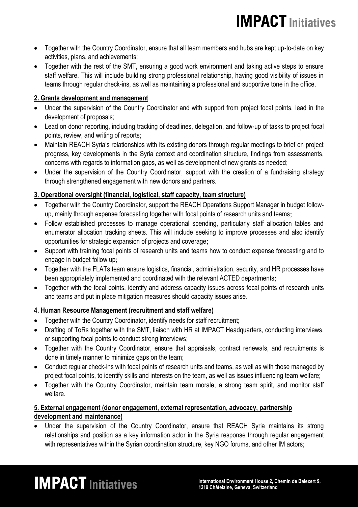- Together with the Country Coordinator, ensure that all team members and hubs are kept up-to-date on key activities, plans, and achievements;
- Together with the rest of the SMT, ensuring a good work environment and taking active steps to ensure staff welfare. This will include building strong professional relationship, having good visibility of issues in teams through regular check-ins, as well as maintaining a professional and supportive tone in the office.

#### **2. Grants development and management**

- Under the supervision of the Country Coordinator and with support from project focal points, lead in the development of proposals;
- Lead on donor reporting, including tracking of deadlines, delegation, and follow-up of tasks to project focal points, review, and writing of reports;
- Maintain REACH Syria's relationships with its existing donors through regular meetings to brief on project progress, key developments in the Syria context and coordination structure, findings from assessments, concerns with regards to information gaps, as well as development of new grants as needed;
- Under the supervision of the Country Coordinator, support with the creation of a fundraising strategy through strengthened engagement with new donors and partners.

#### **3. Operational oversight (financial, logistical, staff capacity, team structure)**

- Together with the Country Coordinator, support the REACH Operations Support Manager in budget followup, mainly through expense forecasting together with focal points of research units and teams;
- Follow established processes to manage operational spending, particularly staff allocation tables and enumerator allocation tracking sheets. This will include seeking to improve processes and also identify opportunities for strategic expansion of projects and coverage;
- Support with training focal points of research units and teams how to conduct expense forecasting and to engage in budget follow up;
- Together with the FLATs team ensure logistics, financial, administration, security, and HR processes have been appropriately implemented and coordinated with the relevant ACTED departments;
- Together with the focal points, identify and address capacity issues across focal points of research units and teams and put in place mitigation measures should capacity issues arise.

#### **4. Human Resource Management (recruitment and staff welfare)**

- Together with the Country Coordinator, identify needs for staff recruitment;
- Drafting of ToRs together with the SMT, liaison with HR at IMPACT Headquarters, conducting interviews, or supporting focal points to conduct strong interviews;
- Together with the Country Coordinator, ensure that appraisals, contract renewals, and recruitments is done in timely manner to minimize gaps on the team;
- Conduct regular check-ins with focal points of research units and teams, as well as with those managed by project focal points, to identify skills and interests on the team, as well as issues influencing team welfare;
- Together with the Country Coordinator, maintain team morale, a strong team spirit, and monitor staff welfare.

#### **5. External engagement (donor engagement, external representation, advocacy, partnership development and maintenance)**

• Under the supervision of the Country Coordinator, ensure that REACH Syria maintains its strong relationships and position as a key information actor in the Syria response through regular engagement with representatives within the Syrian coordination structure, key NGO forums, and other IM actors;

# **IM PACT** Initiatives<br>1219 Châtelaine, Geneva, Switzerland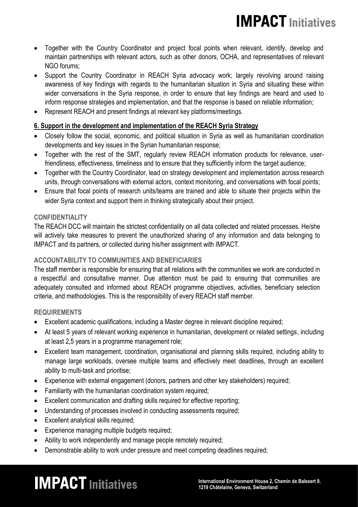### **IMPACT Initiatives**

- Together with the Country Coordinator and project focal points when relevant, identify, develop and maintain partnerships with relevant actors, such as other donors, OCHA, and representatives of relevant NGO forums;
- Support the Country Coordinator in REACH Syria advocacy work; largely revolving around raising awareness of key findings with regards to the humanitarian situation in Syria and situating these within wider conversations in the Syria response, in order to ensure that key findings are heard and used to inform response strategies and implementation, and that the response is based on reliable information;
- Represent REACH and present findings at relevant key platforms/meetings.

#### **6. Support in the development and implementation of the REACH Syria Strategy**

- Closely follow the social, economic, and political situation in Syria as well as humanitarian coordination developments and key issues in the Syrian humanitarian response;
- Together with the rest of the SMT, regularly review REACH information products for relevance, userfriendliness, effectiveness, timeliness and to ensure that they sufficiently inform the target audience;
- Together with the Country Coordinator, lead on strategy development and implementation across research units, through conversations with external actors, context monitoring, and conversations with focal points;
- Ensure that focal points of research units/teams are trained and able to situate their projects within the wider Syria context and support them in thinking strategically about their project.

#### **CONFIDENTIALITY**

The REACH DCC will maintain the strictest confidentiality on all data collected and related processes. He/she will actively take measures to prevent the unauthorized sharing of any information and data belonging to IMPACT and its partners, or collected during his/her assignment with IMPACT.

#### **ACCOUNTABILITY TO COMMUNITIES AND BENEFICIARIES**

The staff member is responsible for ensuring that all relations with the communities we work are conducted in a respectful and consultative manner. Due attention must be paid to ensuring that communities are adequately consulted and informed about REACH programme objectives, activities, beneficiary selection criteria, and methodologies. This is the responsibility of every REACH staff member.

#### **REQUIREMENTS**

- Excellent academic qualifications, including a Master degree in relevant discipline required;
- At least 5 years of relevant working experience in humanitarian, development or related settings, including at least 2,5 years in a programme management role;
- Excellent team management, coordination, organisational and planning skills required, including ability to manage large workloads, oversee multiple teams and effectively meet deadlines, through an excellent ability to multi-task and prioritise;
- Experience with external engagement (donors, partners and other key stakeholders) required;
- Familiarity with the humanitarian coordination system required;
- Excellent communication and drafting skills required for effective reporting;
- Understanding of processes involved in conducting assessments required;
- Excellent analytical skills required;
- Experience managing multiple budgets required;
- Ability to work independently and manage people remotely required;
- Demonstrable ability to work under pressure and meet competing deadlines required;

# IM **PACT** Initiatives<br>1219 Châtelaine. Geneva. Switzerland